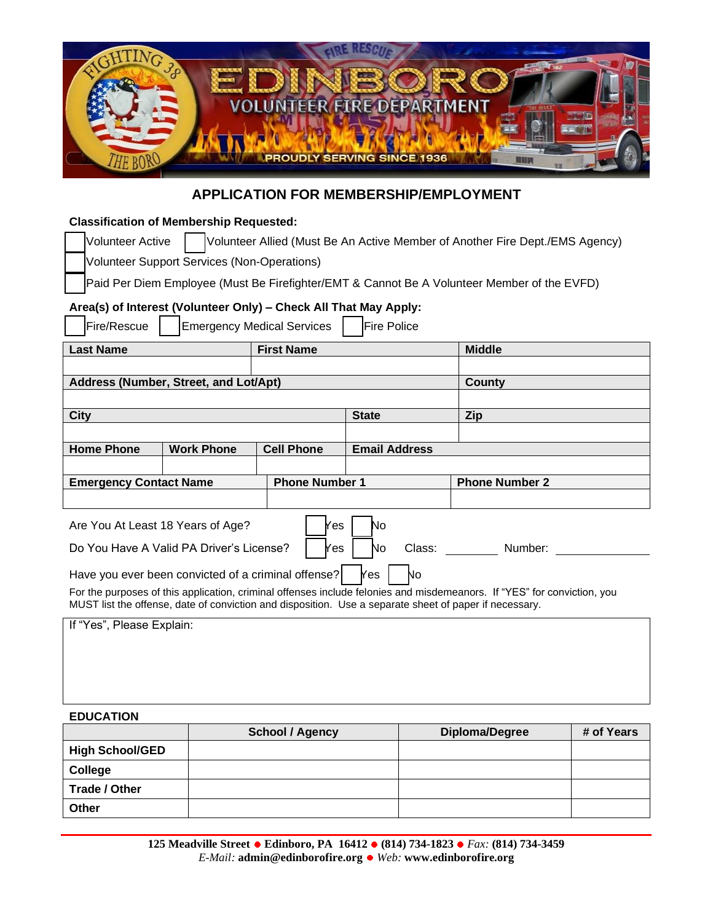

# **APPLICATION FOR MEMBERSHIP/EMPLOYMENT**

# **Classification of Membership Requested:**

Volunteer Active | Volunteer Allied (Must Be An Active Member of Another Fire Dept./EMS Agency)

Volunteer Support Services (Non-Operations)

Paid Per Diem Employee (Must Be Firefighter/EMT & Cannot Be A Volunteer Member of the EVFD)

# **Area(s) of Interest (Volunteer Only) – Check All That May Apply:**

| Fire/Rescue<br><b>Emergency Medical Services</b><br><b>Fire Police</b>                                                                                                                                                            |                   |                       |                      |                       |
|-----------------------------------------------------------------------------------------------------------------------------------------------------------------------------------------------------------------------------------|-------------------|-----------------------|----------------------|-----------------------|
| <b>First Name</b><br><b>Last Name</b>                                                                                                                                                                                             |                   |                       | <b>Middle</b>        |                       |
|                                                                                                                                                                                                                                   |                   |                       |                      |                       |
| Address (Number, Street, and Lot/Apt)                                                                                                                                                                                             |                   |                       |                      | <b>County</b>         |
|                                                                                                                                                                                                                                   |                   |                       |                      |                       |
| <b>City</b>                                                                                                                                                                                                                       |                   |                       | <b>State</b>         | <b>Zip</b>            |
|                                                                                                                                                                                                                                   |                   |                       |                      |                       |
| <b>Home Phone</b>                                                                                                                                                                                                                 | <b>Work Phone</b> | <b>Cell Phone</b>     | <b>Email Address</b> |                       |
|                                                                                                                                                                                                                                   |                   |                       |                      |                       |
| <b>Emergency Contact Name</b>                                                                                                                                                                                                     |                   | <b>Phone Number 1</b> |                      | <b>Phone Number 2</b> |
|                                                                                                                                                                                                                                   |                   |                       |                      |                       |
| Are You At Least 18 Years of Age?<br>No<br>Yes                                                                                                                                                                                    |                   |                       |                      |                       |
| Do You Have A Valid PA Driver's License?<br>Yes<br>Class: Class:<br>Number:<br>No                                                                                                                                                 |                   |                       |                      |                       |
| No<br>Have you ever been convicted of a criminal offense?<br><b>Yes</b>                                                                                                                                                           |                   |                       |                      |                       |
| For the purposes of this application, criminal offenses include felonies and misdemeanors. If "YES" for conviction, you<br>MUST list the offense, date of conviction and disposition. Use a separate sheet of paper if necessary. |                   |                       |                      |                       |
| If "Yes", Please Explain:                                                                                                                                                                                                         |                   |                       |                      |                       |
|                                                                                                                                                                                                                                   |                   |                       |                      |                       |
|                                                                                                                                                                                                                                   |                   |                       |                      |                       |
|                                                                                                                                                                                                                                   |                   |                       |                      |                       |

#### **EDUCATION**

|                        | <b>School / Agency</b> | Diploma/Degree | # of Years |
|------------------------|------------------------|----------------|------------|
| <b>High School/GED</b> |                        |                |            |
| College                |                        |                |            |
| Trade / Other          |                        |                |            |
| Other                  |                        |                |            |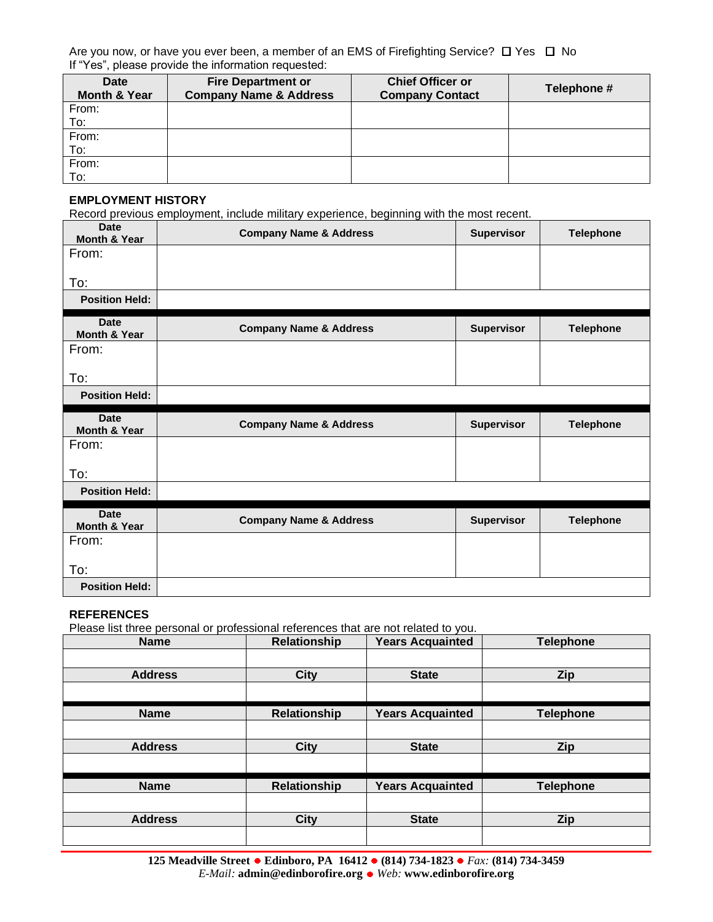Are you now, or have you ever been, a member of an EMS of Firefighting Service?  $\Box$  Yes  $\Box$  No If "Yes", please provide the information requested:

| <b>Date</b><br><b>Month &amp; Year</b> | <b>Fire Department or</b><br><b>Company Name &amp; Address</b> | <b>Chief Officer or</b><br><b>Company Contact</b> | Telephone # |
|----------------------------------------|----------------------------------------------------------------|---------------------------------------------------|-------------|
|                                        |                                                                |                                                   |             |
| From:                                  |                                                                |                                                   |             |
| To:                                    |                                                                |                                                   |             |
| From:                                  |                                                                |                                                   |             |
| To:                                    |                                                                |                                                   |             |
| From:                                  |                                                                |                                                   |             |
| To:                                    |                                                                |                                                   |             |

#### **EMPLOYMENT HISTORY**

Record previous employment, include military experience, beginning with the most recent.

| <b>Date</b><br>Month & Year  | <b>Company Name &amp; Address</b> | Supervisor        | <b>Telephone</b> |
|------------------------------|-----------------------------------|-------------------|------------------|
| From:                        |                                   |                   |                  |
| To:                          |                                   |                   |                  |
| <b>Position Held:</b>        |                                   |                   |                  |
|                              |                                   |                   |                  |
| <b>Date</b><br>Month & Year  | <b>Company Name &amp; Address</b> | <b>Supervisor</b> | <b>Telephone</b> |
| From:                        |                                   |                   |                  |
| To:                          |                                   |                   |                  |
| <b>Position Held:</b>        |                                   |                   |                  |
|                              |                                   |                   |                  |
| <b>Date</b>                  |                                   |                   |                  |
| <b>Month &amp; Year</b>      | <b>Company Name &amp; Address</b> | Supervisor        | <b>Telephone</b> |
| From:                        |                                   |                   |                  |
| To:                          |                                   |                   |                  |
| <b>Position Held:</b>        |                                   |                   |                  |
| <b>Date</b><br>Month & Year  | <b>Company Name &amp; Address</b> | <b>Supervisor</b> | <b>Telephone</b> |
| From:                        |                                   |                   |                  |
|                              |                                   |                   |                  |
| To:<br><b>Position Held:</b> |                                   |                   |                  |

#### **REFERENCES**

Please list three personal or professional references that are not related to you.

| <b>Name</b>    | Relationship        | <b>Years Acquainted</b> | <b>Telephone</b> |
|----------------|---------------------|-------------------------|------------------|
|                |                     |                         |                  |
| <b>Address</b> | City                | <b>State</b>            | Zip              |
|                |                     |                         |                  |
| <b>Name</b>    | <b>Relationship</b> | <b>Years Acquainted</b> | <b>Telephone</b> |
|                |                     |                         |                  |
| <b>Address</b> | City                | <b>State</b>            | Zip              |
|                |                     |                         |                  |
| <b>Name</b>    | <b>Relationship</b> | <b>Years Acquainted</b> | <b>Telephone</b> |
|                |                     |                         |                  |
| <b>Address</b> | City                | <b>State</b>            | Zip              |
|                |                     |                         |                  |

**125 Meadville Street Edinboro, PA 16412 (814) 734-1823** *Fax:* **(814) 734-3459** *E-Mail:* **admin@edinborofire.org** *Web:* **www.edinborofire.org**